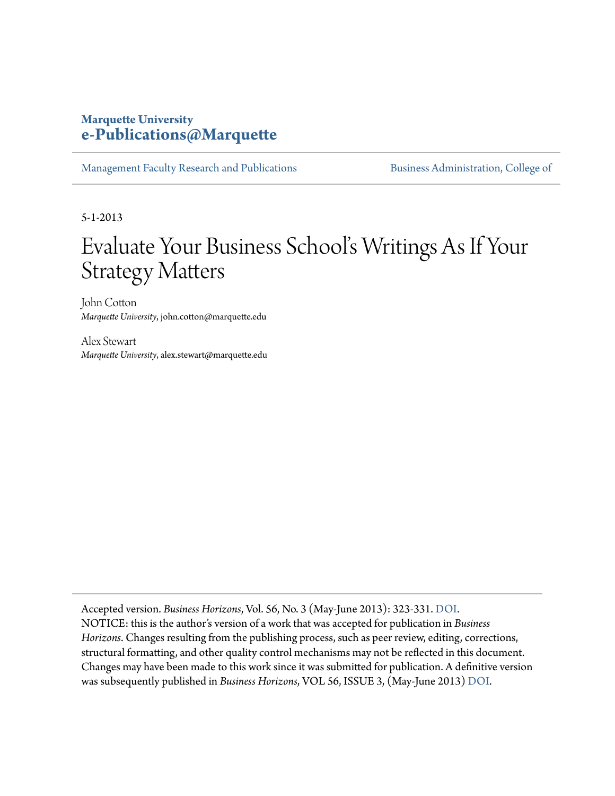#### **Marquette University [e-Publications@Marquette](http://epublications.marquette.edu)**

[Management Faculty Research and Publications](http://epublications.marquette.edu/mgmt_fac) **Business Administration**, College of

5-1-2013

# Evaluate Your Business School's Writings As If Your Strategy Matters

John Cotton *Marquette University*, john.cotton@marquette.edu

Alex Stewart *Marquette University*, alex.stewart@marquette.edu

Accepted version. *Business Horizons*, Vol. 56, No. 3 (May-June 2013): 323-331. [DOI](http://dx.doi.org/10.1016/j.bushor.2013.01.010). NOTICE: this is the author's version of a work that was accepted for publication in *Business Horizons*. Changes resulting from the publishing process, such as peer review, editing, corrections, structural formatting, and other quality control mechanisms may not be reflected in this document. Changes may have been made to this work since it was submitted for publication. A definitive version was subsequently published in *Business Horizons*, VOL 56, ISSUE 3, (May-June 2013) [DOI](http://dx.doi.org/10.1016/j.bushor.2013.01.010).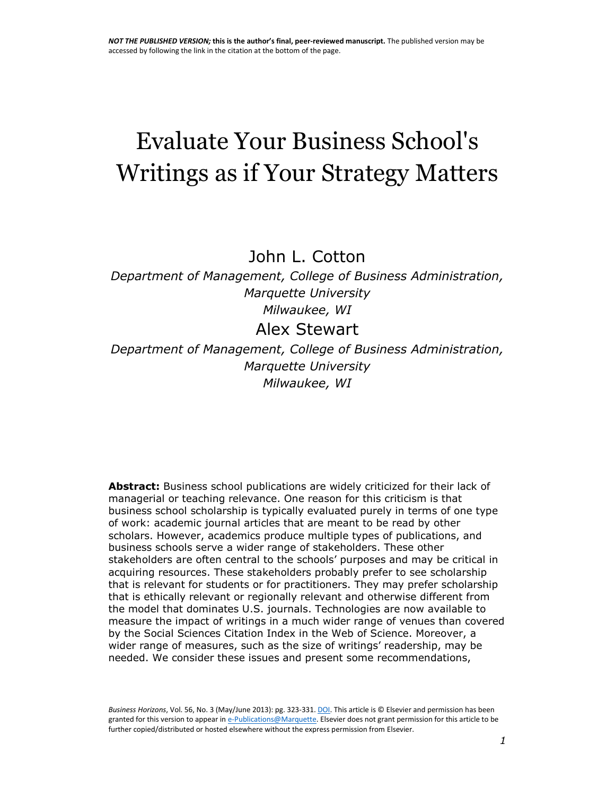# Evaluate Your Business School's Writings as if Your Strategy Matters

John L. Cotton

*Department of Management, College of Business Administration, Marquette University Milwaukee, WI*

## Alex Stewart

*Department of Management, College of Business Administration, Marquette University Milwaukee, WI*

**Abstract:** Business school publications are widely criticized for their lack of managerial or teaching relevance. One reason for this criticism is that business school scholarship is typically evaluated purely in terms of one type of work: academic journal articles that are meant to be read by other scholars. However, academics produce multiple types of publications, and business schools serve a wider range of stakeholders. These other stakeholders are often central to the schools' purposes and may be critical in acquiring resources. These stakeholders probably prefer to see scholarship that is relevant for students or for practitioners. They may prefer scholarship that is ethically relevant or regionally relevant and otherwise different from the model that dominates U.S. journals. Technologies are now available to measure the impact of writings in a much wider range of venues than covered by the Social Sciences Citation Index in the Web of Science. Moreover, a wider range of measures, such as the size of writings' readership, may be needed. We consider these issues and present some recommendations,

*Business Horizons*, Vol. 56, No. 3 (May/June 2013): pg. 323-331[. DOI.](http://dx.doi.org/10.1016/j.bushor.2013.01.010) This article is © Elsevier and permission has been granted for this version to appear i[n e-Publications@Marquette.](http://epublications.marquette.edu/) Elsevier does not grant permission for this article to be further copied/distributed or hosted elsewhere without the express permission from Elsevier.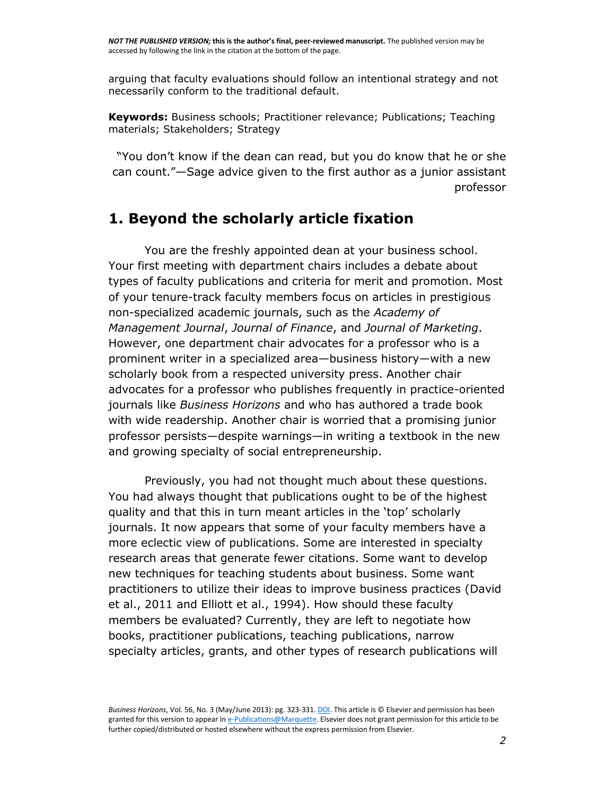arguing that faculty evaluations should follow an intentional strategy and not necessarily conform to the traditional default.

**Keywords:** Business schools; Practitioner relevance; Publications; Teaching materials; Stakeholders; Strategy

"You don't know if the dean can read, but you do know that he or she can count."—Sage advice given to the first author as a junior assistant professor

## **1. Beyond the scholarly article fixation**

You are the freshly appointed dean at your business school. Your first meeting with department chairs includes a debate about types of faculty publications and criteria for merit and promotion. Most of your tenure-track faculty members focus on articles in prestigious non-specialized academic journals, such as the *Academy of Management Journal*, *Journal of Finance*, and *Journal of Marketing*. However, one department chair advocates for a professor who is a prominent writer in a specialized area—business history—with a new scholarly book from a respected university press. Another chair advocates for a professor who publishes frequently in practice-oriented journals like *Business Horizons* and who has authored a trade book with wide readership. Another chair is worried that a promising junior professor persists—despite warnings—in writing a textbook in the new and growing specialty of social entrepreneurship.

Previously, you had not thought much about these questions. You had always thought that publications ought to be of the highest quality and that this in turn meant articles in the 'top' scholarly journals. It now appears that some of your faculty members have a more eclectic view of publications. Some are interested in specialty research areas that generate fewer citations. Some want to develop new techniques for teaching students about business. Some want practitioners to utilize their ideas to improve business practices [\(David](http://www.sciencedirect.com/science/article/pii/S0007681313000116#bib0065)  [et al., 2011](http://www.sciencedirect.com/science/article/pii/S0007681313000116#bib0065) and [Elliott et al., 1994\)](http://www.sciencedirect.com/science/article/pii/S0007681313000116#bib0075). How should these faculty members be evaluated? Currently, they are left to negotiate how books, practitioner publications, teaching publications, narrow specialty articles, grants, and other types of research publications will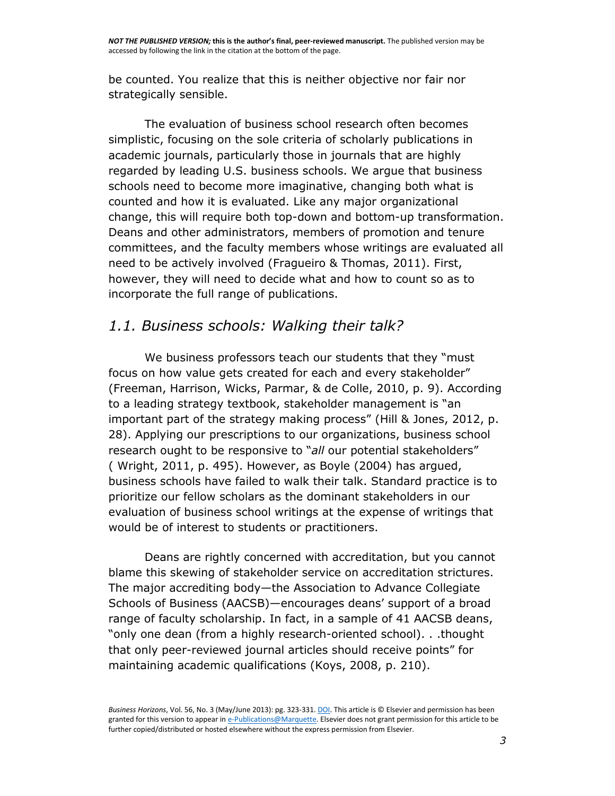be counted. You realize that this is neither objective nor fair nor strategically sensible.

The evaluation of business school research often becomes simplistic, focusing on the sole criteria of scholarly publications in academic journals, particularly those in journals that are highly regarded by leading U.S. business schools. We argue that business schools need to become more imaginative, changing both what is counted and how it is evaluated. Like any major organizational change, this will require both top-down and bottom-up transformation. Deans and other administrators, members of promotion and tenure committees, and the faculty members whose writings are evaluated all need to be actively involved [\(Fragueiro & Thomas, 2011\)](http://www.sciencedirect.com/science/article/pii/S0007681313000116#bib0085). First, however, they will need to decide what and how to count so as to incorporate the full range of publications.

## *1.1. Business schools: Walking their talk?*

We business professors teach our students that they "must focus on how value gets created for each and every stakeholder" [\(Freeman, Harrison, Wicks, Parmar, & de Colle, 2010,](http://www.sciencedirect.com/science/article/pii/S0007681313000116#bib0090) p. 9). According to a leading strategy textbook, stakeholder management is "an important part of the strategy making process" ([Hill & Jones, 2012,](http://www.sciencedirect.com/science/article/pii/S0007681313000116#bib0110) p. 28). Applying our prescriptions to our organizations, business school research ought to be responsive to "*all* our potential stakeholders" ( [Wright, 2011,](http://www.sciencedirect.com/science/article/pii/S0007681313000116#bib0275) p. 495). However, as [Boyle \(2004\)](http://www.sciencedirect.com/science/article/pii/S0007681313000116#bib0020) has argued, business schools have failed to walk their talk. Standard practice is to prioritize our fellow scholars as the dominant stakeholders in our evaluation of business school writings at the expense of writings that would be of interest to students or practitioners.

Deans are rightly concerned with accreditation, but you cannot blame this skewing of stakeholder service on accreditation strictures. The major accrediting body—the Association to Advance Collegiate Schools of Business (AACSB)—encourages deans' support of a broad range of faculty scholarship. In fact, in a sample of 41 AACSB deans, "only one dean (from a highly research-oriented school). . .thought that only peer-reviewed journal articles should receive points" for maintaining academic qualifications [\(Koys, 2008,](http://www.sciencedirect.com/science/article/pii/S0007681313000116#bib0145) p. 210).

*Business Horizons*, Vol. 56, No. 3 (May/June 2013): pg. 323-331[. DOI.](http://dx.doi.org/10.1016/j.bushor.2013.01.010) This article is © Elsevier and permission has been granted for this version to appear i[n e-Publications@Marquette.](http://epublications.marquette.edu/) Elsevier does not grant permission for this article to be further copied/distributed or hosted elsewhere without the express permission from Elsevier.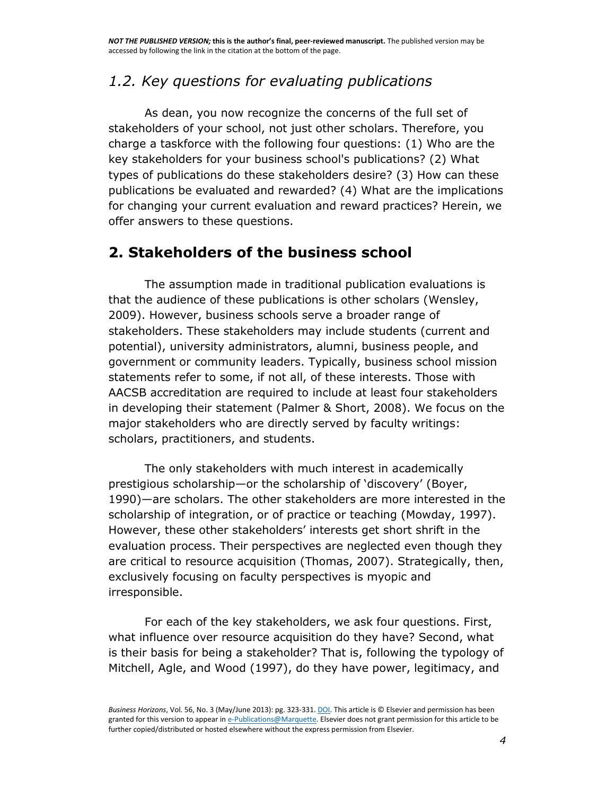## *1.2. Key questions for evaluating publications*

As dean, you now recognize the concerns of the full set of stakeholders of your school, not just other scholars. Therefore, you charge a taskforce with the following four questions: (1) Who are the key stakeholders for your business school's publications? (2) What types of publications do these stakeholders desire? (3) How can these publications be evaluated and rewarded? (4) What are the implications for changing your current evaluation and reward practices? Herein, we offer answers to these questions.

## **2. Stakeholders of the business school**

The assumption made in traditional publication evaluations is that the audience of these publications is other scholars [\(Wensley,](http://www.sciencedirect.com/science/article/pii/S0007681313000116#bib0270)  [2009\)](http://www.sciencedirect.com/science/article/pii/S0007681313000116#bib0270). However, business schools serve a broader range of stakeholders. These stakeholders may include students (current and potential), university administrators, alumni, business people, and government or community leaders. Typically, business school mission statements refer to some, if not all, of these interests. Those with AACSB accreditation are required to include at least four stakeholders in developing their statement [\(Palmer & Short, 2008\)](http://www.sciencedirect.com/science/article/pii/S0007681313000116#bib0200). We focus on the major stakeholders who are directly served by faculty writings: scholars, practitioners, and students.

The only stakeholders with much interest in academically prestigious scholarship—or the scholarship of 'discovery' ([Boyer,](http://www.sciencedirect.com/science/article/pii/S0007681313000116#bib0015)  [1990\)](http://www.sciencedirect.com/science/article/pii/S0007681313000116#bib0015)—are scholars. The other stakeholders are more interested in the scholarship of integration, or of practice or teaching [\(Mowday, 1997\)](http://www.sciencedirect.com/science/article/pii/S0007681313000116#bib0180). However, these other stakeholders' interests get short shrift in the evaluation process. Their perspectives are neglected even though they are critical to resource acquisition [\(Thomas, 2007\)](http://www.sciencedirect.com/science/article/pii/S0007681313000116#bib0260). Strategically, then, exclusively focusing on faculty perspectives is myopic and irresponsible.

For each of the key stakeholders, we ask four questions. First, what influence over resource acquisition do they have? Second, what is their basis for being a stakeholder? That is, following the typology of [Mitchell, Agle, and Wood \(1997\),](http://www.sciencedirect.com/science/article/pii/S0007681313000116#bib0170) do they have power, legitimacy, and

*Business Horizons*, Vol. 56, No. 3 (May/June 2013): pg. 323-331[. DOI.](http://dx.doi.org/10.1016/j.bushor.2013.01.010) This article is © Elsevier and permission has been granted for this version to appear i[n e-Publications@Marquette.](http://epublications.marquette.edu/) Elsevier does not grant permission for this article to be further copied/distributed or hosted elsewhere without the express permission from Elsevier.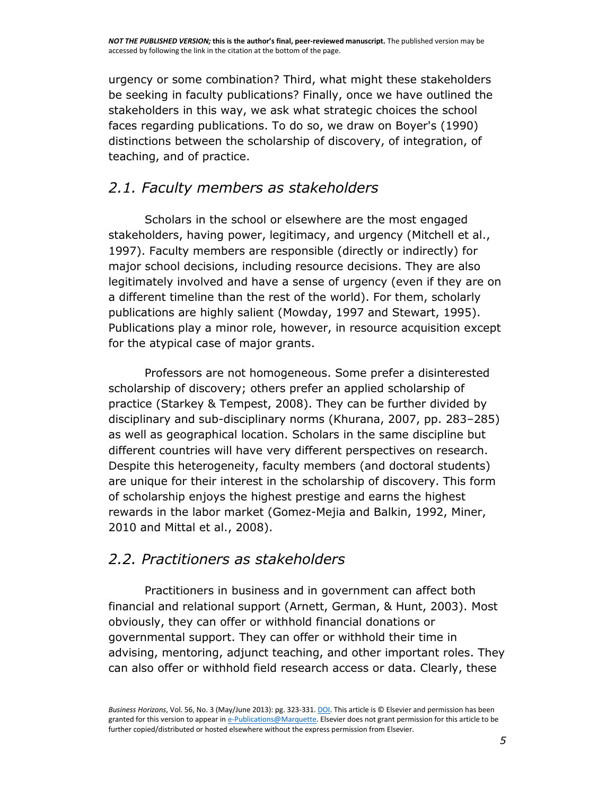urgency or some combination? Third, what might these stakeholders be seeking in faculty publications? Finally, once we have outlined the stakeholders in this way, we ask what strategic choices the school faces regarding publications. To do so, we draw on Boyer's (1990) distinctions between the scholarship of discovery, of integration, of teaching, and of practice.

## *2.1. Faculty members as stakeholders*

Scholars in the school or elsewhere are the most engaged stakeholders, having power, legitimacy, and urgency [\(Mitchell et al.,](http://www.sciencedirect.com/science/article/pii/S0007681313000116#bib0170)  [1997\)](http://www.sciencedirect.com/science/article/pii/S0007681313000116#bib0170). Faculty members are responsible (directly or indirectly) for major school decisions, including resource decisions. They are also legitimately involved and have a sense of urgency (even if they are on a different timeline than the rest of the world). For them, scholarly publications are highly salient [\(Mowday, 1997](http://www.sciencedirect.com/science/article/pii/S0007681313000116#bib0180) and [Stewart, 1995\)](http://www.sciencedirect.com/science/article/pii/S0007681313000116#bib0250). Publications play a minor role, however, in resource acquisition except for the atypical case of major grants.

Professors are not homogeneous. Some prefer a disinterested scholarship of discovery; others prefer an applied scholarship of practice [\(Starkey & Tempest, 2008\)](http://www.sciencedirect.com/science/article/pii/S0007681313000116#bib0245). They can be further divided by disciplinary and sub-disciplinary norms [\(Khurana, 2007,](http://www.sciencedirect.com/science/article/pii/S0007681313000116#bib0140) pp. 283–285) as well as geographical location. Scholars in the same discipline but different countries will have very different perspectives on research. Despite this heterogeneity, faculty members (and doctoral students) are unique for their interest in the scholarship of discovery. This form of scholarship enjoys the highest prestige and earns the highest rewards in the labor market [\(Gomez-Mejia and Balkin, 1992,](http://www.sciencedirect.com/science/article/pii/S0007681313000116#bib0100) [Miner,](http://www.sciencedirect.com/science/article/pii/S0007681313000116#bib0165)  [2010](http://www.sciencedirect.com/science/article/pii/S0007681313000116#bib0165) and [Mittal et al., 2008\)](http://www.sciencedirect.com/science/article/pii/S0007681313000116#bib0175).

## *2.2. Practitioners as stakeholders*

Practitioners in business and in government can affect both financial and relational support [\(Arnett, German, & Hunt, 2003\)](http://www.sciencedirect.com/science/article/pii/S0007681313000116#bib0010). Most obviously, they can offer or withhold financial donations or governmental support. They can offer or withhold their time in advising, mentoring, adjunct teaching, and other important roles. They can also offer or withhold field research access or data. Clearly, these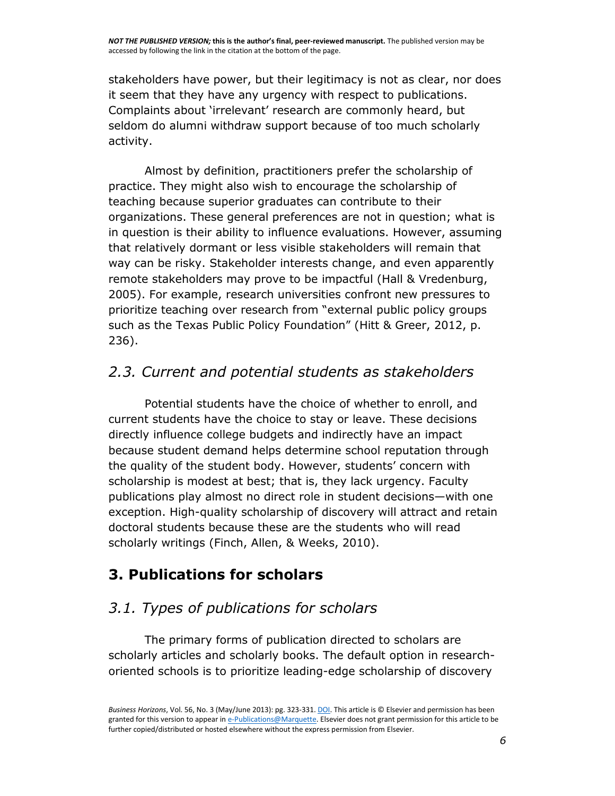stakeholders have power, but their legitimacy is not as clear, nor does it seem that they have any urgency with respect to publications. Complaints about 'irrelevant' research are commonly heard, but seldom do alumni withdraw support because of too much scholarly activity.

Almost by definition, practitioners prefer the scholarship of practice. They might also wish to encourage the scholarship of teaching because superior graduates can contribute to their organizations. These general preferences are not in question; what is in question is their ability to influence evaluations. However, assuming that relatively dormant or less visible stakeholders will remain that way can be risky. Stakeholder interests change, and even apparently remote stakeholders may prove to be impactful (Hall & Vredenburg, 2005). For example, research universities confront new pressures to prioritize teaching over research from "external public policy groups such as the Texas Public Policy Foundation" ([Hitt & Greer, 2012,](http://www.sciencedirect.com/science/article/pii/S0007681313000116#bib0115) p. 236).

## *2.3. Current and potential students as stakeholders*

Potential students have the choice of whether to enroll, and current students have the choice to stay or leave. These decisions directly influence college budgets and indirectly have an impact because student demand helps determine school reputation through the quality of the student body. However, students' concern with scholarship is modest at best; that is, they lack urgency. Faculty publications play almost no direct role in student decisions—with one exception. High-quality scholarship of discovery will attract and retain doctoral students because these are the students who will read scholarly writings [\(Finch, Allen, & Weeks, 2010\)](http://www.sciencedirect.com/science/article/pii/S0007681313000116#bib0080).

## **3. Publications for scholars**

# *3.1. Types of publications for scholars*

The primary forms of publication directed to scholars are scholarly articles and scholarly books. The default option in researchoriented schools is to prioritize leading-edge scholarship of discovery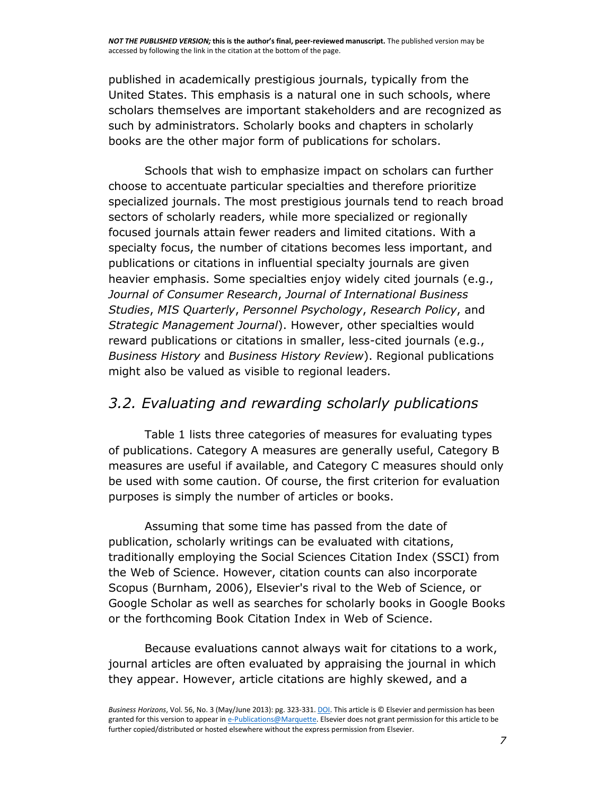*NOT THE PUBLISHED VERSION;* **this is the author's final, peer-reviewed manuscript.** The published version may be accessed by following the link in the citation at the bottom of the page.

published in academically prestigious journals, typically from the United States. This emphasis is a natural one in such schools, where scholars themselves are important stakeholders and are recognized as such by administrators. Scholarly books and chapters in scholarly books are the other major form of publications for scholars.

Schools that wish to emphasize impact on scholars can further choose to accentuate particular specialties and therefore prioritize specialized journals. The most prestigious journals tend to reach broad sectors of scholarly readers, while more specialized or regionally focused journals attain fewer readers and limited citations. With a specialty focus, the number of citations becomes less important, and publications or citations in influential specialty journals are given heavier emphasis. Some specialties enjoy widely cited journals (e.g., *Journal of Consumer Research*, *Journal of International Business Studies*, *MIS Quarterly*, *Personnel Psychology*, *Research Policy*, and *Strategic Management Journal*). However, other specialties would reward publications or citations in smaller, less-cited journals (e.g., *Business History* and *Business History Review*). Regional publications might also be valued as visible to regional leaders.

#### *3.2. Evaluating and rewarding scholarly publications*

[Table 1](http://www.sciencedirect.com/science/article/pii/S0007681313000116#tbl0005) lists three categories of measures for evaluating types of publications. Category A measures are generally useful, Category B measures are useful if available, and Category C measures should only be used with some caution. Of course, the first criterion for evaluation purposes is simply the number of articles or books.

Assuming that some time has passed from the date of publication, scholarly writings can be evaluated with citations, traditionally employing the Social Sciences Citation Index (SSCI) from the Web of Science. However, citation counts can also incorporate Scopus [\(Burnham, 2006\)](http://www.sciencedirect.com/science/article/pii/S0007681313000116#bib0025), Elsevier's rival to the Web of Science, or Google Scholar as well as searches for scholarly books in Google Books or the forthcoming Book Citation Index in Web of Science.

Because evaluations cannot always wait for citations to a work, journal articles are often evaluated by appraising the journal in which they appear. However, article citations are highly skewed, and a

*Business Horizons*, Vol. 56, No. 3 (May/June 2013): pg. 323-331[. DOI.](http://dx.doi.org/10.1016/j.bushor.2013.01.010) This article is © Elsevier and permission has been granted for this version to appear i[n e-Publications@Marquette.](http://epublications.marquette.edu/) Elsevier does not grant permission for this article to be further copied/distributed or hosted elsewhere without the express permission from Elsevier.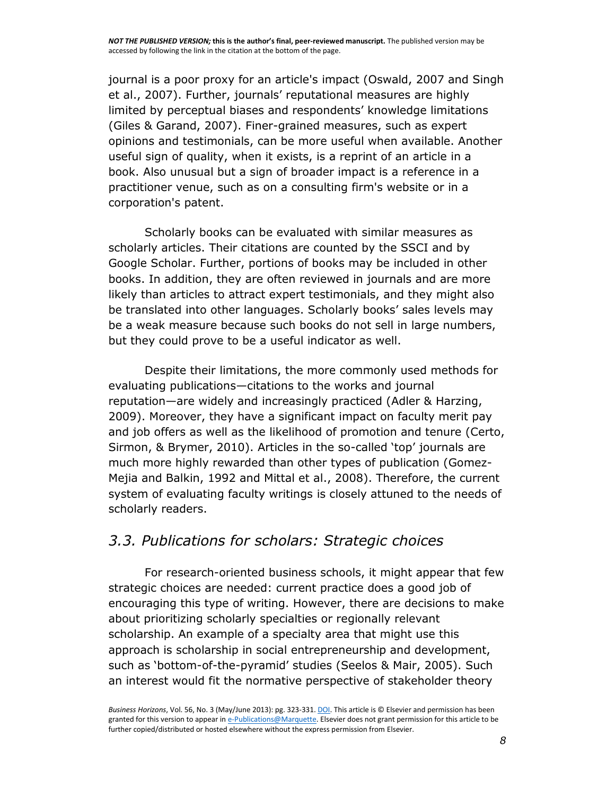journal is a poor proxy for an article's impact [\(Oswald, 2007](http://www.sciencedirect.com/science/article/pii/S0007681313000116#bib0195) and [Singh](http://www.sciencedirect.com/science/article/pii/S0007681313000116#bib0230)  [et al., 2007\)](http://www.sciencedirect.com/science/article/pii/S0007681313000116#bib0230). Further, journals' reputational measures are highly limited by perceptual biases and respondents' knowledge limitations [\(Giles & Garand, 2007\)](http://www.sciencedirect.com/science/article/pii/S0007681313000116#bib0095). Finer-grained measures, such as expert opinions and testimonials, can be more useful when available. Another useful sign of quality, when it exists, is a reprint of an article in a book. Also unusual but a sign of broader impact is a reference in a practitioner venue, such as on a consulting firm's website or in a corporation's patent.

Scholarly books can be evaluated with similar measures as scholarly articles. Their citations are counted by the SSCI and by Google Scholar. Further, portions of books may be included in other books. In addition, they are often reviewed in journals and are more likely than articles to attract expert testimonials, and they might also be translated into other languages. Scholarly books' sales levels may be a weak measure because such books do not sell in large numbers, but they could prove to be a useful indicator as well.

Despite their limitations, the more commonly used methods for evaluating publications—citations to the works and journal reputation—are widely and increasingly practiced [\(Adler & Harzing,](http://www.sciencedirect.com/science/article/pii/S0007681313000116#bib0005)  [2009\)](http://www.sciencedirect.com/science/article/pii/S0007681313000116#bib0005). Moreover, they have a significant impact on faculty merit pay and job offers as well as the likelihood of promotion and tenure [\(Certo,](http://www.sciencedirect.com/science/article/pii/S0007681313000116#bib0040)  [Sirmon, & Brymer, 2010\)](http://www.sciencedirect.com/science/article/pii/S0007681313000116#bib0040). Articles in the so-called 'top' journals are much more highly rewarded than other types of publication [\(Gomez-](http://www.sciencedirect.com/science/article/pii/S0007681313000116#bib0100)[Mejia and Balkin, 1992](http://www.sciencedirect.com/science/article/pii/S0007681313000116#bib0100) and [Mittal et al., 2008\)](http://www.sciencedirect.com/science/article/pii/S0007681313000116#bib0175). Therefore, the current system of evaluating faculty writings is closely attuned to the needs of scholarly readers.

#### *3.3. Publications for scholars: Strategic choices*

For research-oriented business schools, it might appear that few strategic choices are needed: current practice does a good job of encouraging this type of writing. However, there are decisions to make about prioritizing scholarly specialties or regionally relevant scholarship. An example of a specialty area that might use this approach is scholarship in social entrepreneurship and development, such as 'bottom-of-the-pyramid' studies ([Seelos & Mair, 2005\)](http://www.sciencedirect.com/science/article/pii/S0007681313000116#bib0225). Such an interest would fit the normative perspective of stakeholder theory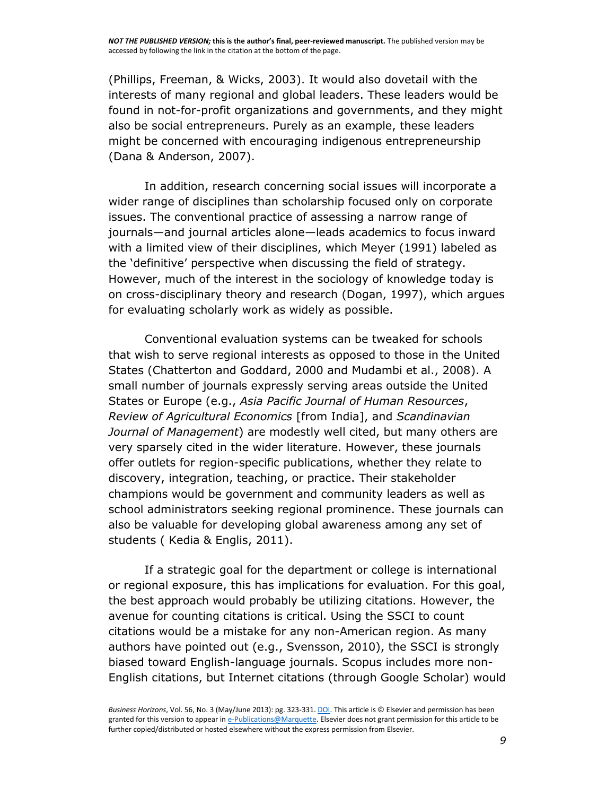[\(Phillips, Freeman, & Wicks, 2003\)](http://www.sciencedirect.com/science/article/pii/S0007681313000116#bib0210). It would also dovetail with the interests of many regional and global leaders. These leaders would be found in not-for-profit organizations and governments, and they might also be social entrepreneurs. Purely as an example, these leaders might be concerned with encouraging indigenous entrepreneurship [\(Dana & Anderson, 2007\)](http://www.sciencedirect.com/science/article/pii/S0007681313000116#bib0060).

In addition, research concerning social issues will incorporate a wider range of disciplines than scholarship focused only on corporate issues. The conventional practice of assessing a narrow range of journals—and journal articles alone—leads academics to focus inward with a limited view of their disciplines, which [Meyer \(1991\)](http://www.sciencedirect.com/science/article/pii/S0007681313000116#bib0155) labeled as the 'definitive' perspective when discussing the field of strategy. However, much of the interest in the sociology of knowledge today is on cross-disciplinary theory and research [\(Dogan, 1997\)](http://www.sciencedirect.com/science/article/pii/S0007681313000116#bib0070), which argues for evaluating scholarly work as widely as possible.

Conventional evaluation systems can be tweaked for schools that wish to serve regional interests as opposed to those in the United States [\(Chatterton and Goddard, 2000](http://www.sciencedirect.com/science/article/pii/S0007681313000116#bib0045) and [Mudambi et al., 2008\)](http://www.sciencedirect.com/science/article/pii/S0007681313000116#bib0185). A small number of journals expressly serving areas outside the United States or Europe (e.g., *Asia Pacific Journal of Human Resources*, *Review of Agricultural Economics* [from India], and *Scandinavian Journal of Management*) are modestly well cited, but many others are very sparsely cited in the wider literature. However, these journals offer outlets for region-specific publications, whether they relate to discovery, integration, teaching, or practice. Their stakeholder champions would be government and community leaders as well as school administrators seeking regional prominence. These journals can also be valuable for developing global awareness among any set of students ( [Kedia & Englis, 2011\)](http://www.sciencedirect.com/science/article/pii/S0007681313000116#bib0130).

If a strategic goal for the department or college is international or regional exposure, this has implications for evaluation. For this goal, the best approach would probably be utilizing citations. However, the avenue for counting citations is critical. Using the SSCI to count citations would be a mistake for any non-American region. As many authors have pointed out (e.g., [Svensson, 2010\)](http://www.sciencedirect.com/science/article/pii/S0007681313000116#bib0255), the SSCI is strongly biased toward English-language journals. Scopus includes more non-English citations, but Internet citations (through Google Scholar) would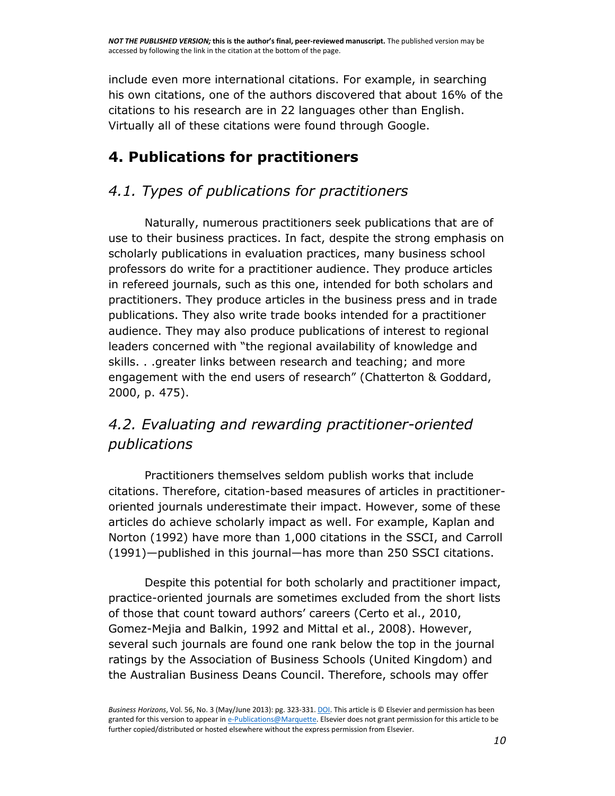include even more international citations. For example, in searching his own citations, one of the authors discovered that about 16% of the citations to his research are in 22 languages other than English. Virtually all of these citations were found through Google.

# **4. Publications for practitioners**

# *4.1. Types of publications for practitioners*

Naturally, numerous practitioners seek publications that are of use to their business practices. In fact, despite the strong emphasis on scholarly publications in evaluation practices, many business school professors do write for a practitioner audience. They produce articles in refereed journals, such as this one, intended for both scholars and practitioners. They produce articles in the business press and in trade publications. They also write trade books intended for a practitioner audience. They may also produce publications of interest to regional leaders concerned with "the regional availability of knowledge and skills. . .greater links between research and teaching; and more engagement with the end users of research" ([Chatterton & Goddard,](http://www.sciencedirect.com/science/article/pii/S0007681313000116#bib0045)  [2000,](http://www.sciencedirect.com/science/article/pii/S0007681313000116#bib0045) p. 475).

# *4.2. Evaluating and rewarding practitioner-oriented publications*

Practitioners themselves seldom publish works that include citations. Therefore, citation-based measures of articles in practitioneroriented journals underestimate their impact. However, some of these articles do achieve scholarly impact as well. For example, [Kaplan and](http://www.sciencedirect.com/science/article/pii/S0007681313000116#bib0125)  [Norton \(1992\)](http://www.sciencedirect.com/science/article/pii/S0007681313000116#bib0125) have more than 1,000 citations in the SSCI, and [Carroll](http://www.sciencedirect.com/science/article/pii/S0007681313000116#bib0030)  [\(1991\)](http://www.sciencedirect.com/science/article/pii/S0007681313000116#bib0030)—published in this journal—has more than 250 SSCI citations.

Despite this potential for both scholarly and practitioner impact, practice-oriented journals are sometimes excluded from the short lists of those that count toward authors' careers ([Certo et al., 2010,](http://www.sciencedirect.com/science/article/pii/S0007681313000116#bib0040) [Gomez-Mejia and Balkin, 1992](http://www.sciencedirect.com/science/article/pii/S0007681313000116#bib0100) and [Mittal et al., 2008\)](http://www.sciencedirect.com/science/article/pii/S0007681313000116#bib0175). However, several such journals are found one rank below the top in the journal ratings by the Association of Business Schools (United Kingdom) and the Australian Business Deans Council. Therefore, schools may offer

*Business Horizons*, Vol. 56, No. 3 (May/June 2013): pg. 323-331[. DOI.](http://dx.doi.org/10.1016/j.bushor.2013.01.010) This article is © Elsevier and permission has been granted for this version to appear i[n e-Publications@Marquette.](http://epublications.marquette.edu/) Elsevier does not grant permission for this article to be further copied/distributed or hosted elsewhere without the express permission from Elsevier.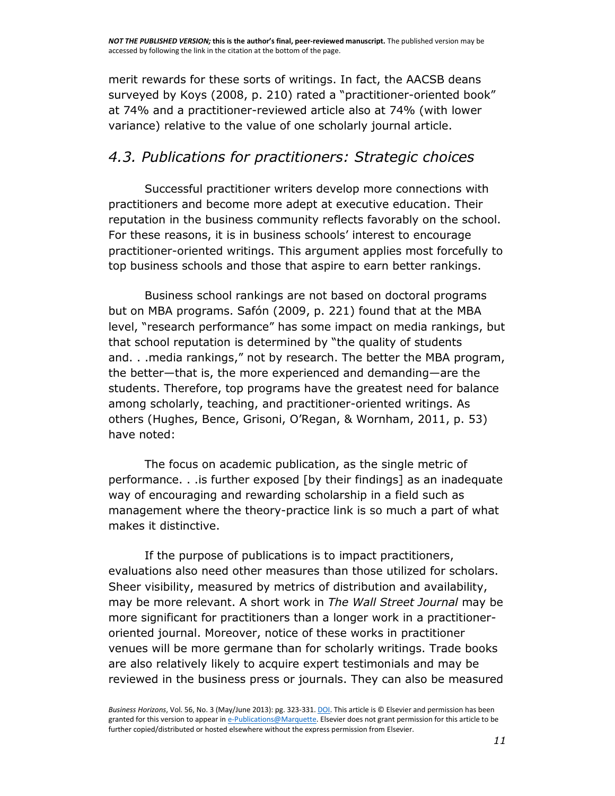merit rewards for these sorts of writings. In fact, the AACSB deans surveyed by Koys (2008, p. 210) rated a "practitioner-oriented book" at 74% and a practitioner-reviewed article also at 74% (with lower variance) relative to the value of one scholarly journal article.

## *4.3. Publications for practitioners: Strategic choices*

Successful practitioner writers develop more connections with practitioners and become more adept at executive education. Their reputation in the business community reflects favorably on the school. For these reasons, it is in business schools' interest to encourage practitioner-oriented writings. This argument applies most forcefully to top business schools and those that aspire to earn better rankings.

Business school rankings are not based on doctoral programs but on MBA programs. [Safón \(2009, p. 221\)](http://www.sciencedirect.com/science/article/pii/S0007681313000116#bib0220) found that at the MBA level, "research performance" has some impact on media rankings, but that school reputation is determined by "the quality of students and. . .media rankings," not by research. The better the MBA program, the better—that is, the more experienced and demanding—are the students. Therefore, top programs have the greatest need for balance among scholarly, teaching, and practitioner-oriented writings. As others ([Hughes, Bence, Grisoni, O'Regan, & Wornham, 2011, p. 53](http://www.sciencedirect.com/science/article/pii/S0007681313000116#bib0120)) have noted:

The focus on academic publication, as the single metric of performance. . .is further exposed [by their findings] as an inadequate way of encouraging and rewarding scholarship in a field such as management where the theory-practice link is so much a part of what makes it distinctive.

If the purpose of publications is to impact practitioners, evaluations also need other measures than those utilized for scholars. Sheer visibility, measured by metrics of distribution and availability, may be more relevant. A short work in *The Wall Street Journal* may be more significant for practitioners than a longer work in a practitioneroriented journal. Moreover, notice of these works in practitioner venues will be more germane than for scholarly writings. Trade books are also relatively likely to acquire expert testimonials and may be reviewed in the business press or journals. They can also be measured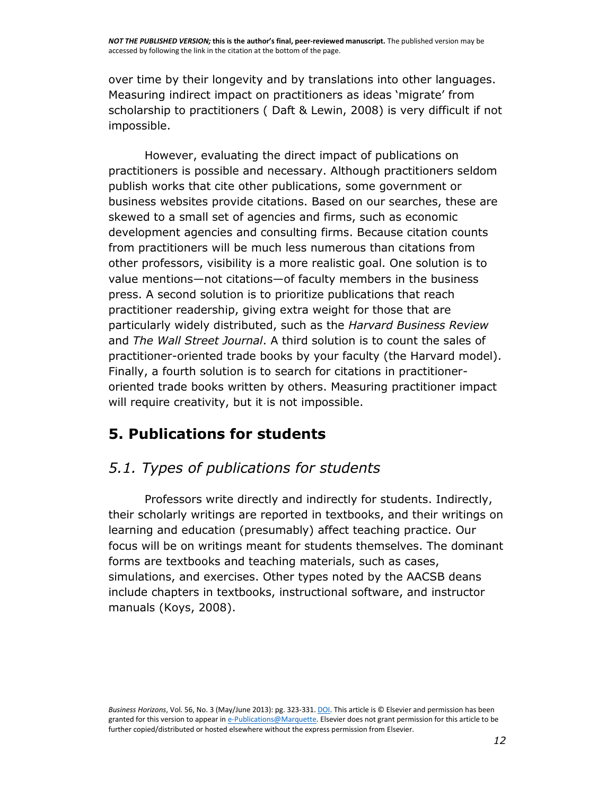over time by their longevity and by translations into other languages. Measuring indirect impact on practitioners as ideas 'migrate' from scholarship to practitioners ( [Daft & Lewin, 2008\)](http://www.sciencedirect.com/science/article/pii/S0007681313000116#bib0055) is very difficult if not impossible.

However, evaluating the direct impact of publications on practitioners is possible and necessary. Although practitioners seldom publish works that cite other publications, some government or business websites provide citations. Based on our searches, these are skewed to a small set of agencies and firms, such as economic development agencies and consulting firms. Because citation counts from practitioners will be much less numerous than citations from other professors, visibility is a more realistic goal. One solution is to value mentions—not citations—of faculty members in the business press. A second solution is to prioritize publications that reach practitioner readership, giving extra weight for those that are particularly widely distributed, such as the *Harvard Business Review* and *The Wall Street Journal*. A third solution is to count the sales of practitioner-oriented trade books by your faculty (the Harvard model). Finally, a fourth solution is to search for citations in practitioneroriented trade books written by others. Measuring practitioner impact will require creativity, but it is not impossible.

# **5. Publications for students**

# *5.1. Types of publications for students*

Professors write directly and indirectly for students. Indirectly, their scholarly writings are reported in textbooks, and their writings on learning and education (presumably) affect teaching practice. Our focus will be on writings meant for students themselves. The dominant forms are textbooks and teaching materials, such as cases, simulations, and exercises. Other types noted by the AACSB deans include chapters in textbooks, instructional software, and instructor manuals [\(Koys, 2008\)](http://www.sciencedirect.com/science/article/pii/S0007681313000116#bib0145).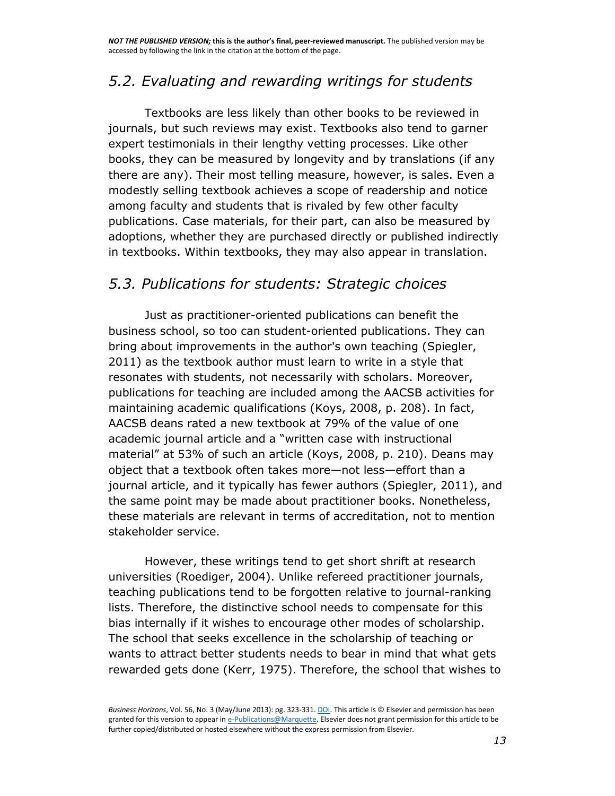## *5.2. Evaluating and rewarding writings for students*

Textbooks are less likely than other books to be reviewed in journals, but such reviews may exist. Textbooks also tend to garner expert testimonials in their lengthy vetting processes. Like other books, they can be measured by longevity and by translations (if any there are any). Their most telling measure, however, is sales. Even a modestly selling textbook achieves a scope of readership and notice among faculty and students that is rivaled by few other faculty publications. Case materials, for their part, can also be measured by adoptions, whether they are purchased directly or published indirectly in textbooks. Within textbooks, they may also appear in translation.

## *5.3. Publications for students: Strategic choices*

Just as practitioner-oriented publications can benefit the business school, so too can student-oriented publications. They can bring about improvements in the author's own teaching [\(Spiegler,](http://www.sciencedirect.com/science/article/pii/S0007681313000116#bib0235)  [2011\)](http://www.sciencedirect.com/science/article/pii/S0007681313000116#bib0235) as the textbook author must learn to write in a style that resonates with students, not necessarily with scholars. Moreover, publications for teaching are included among the AACSB activities for maintaining academic qualifications [\(Koys, 2008,](http://www.sciencedirect.com/science/article/pii/S0007681313000116#bib0145) p. 208). In fact, AACSB deans rated a new textbook at 79% of the value of one academic journal article and a "written case with instructional material" at 53% of such an article ([Koys, 2008,](http://www.sciencedirect.com/science/article/pii/S0007681313000116#bib0145) p. 210). Deans may object that a textbook often takes more—not less—effort than a journal article, and it typically has fewer authors [\(Spiegler, 2011\)](http://www.sciencedirect.com/science/article/pii/S0007681313000116#bib0235), and the same point may be made about practitioner books. Nonetheless, these materials are relevant in terms of accreditation, not to mention stakeholder service.

However, these writings tend to get short shrift at research universities [\(Roediger, 2004\)](http://www.sciencedirect.com/science/article/pii/S0007681313000116#bib0215). Unlike refereed practitioner journals, teaching publications tend to be forgotten relative to journal-ranking lists. Therefore, the distinctive school needs to compensate for this bias internally if it wishes to encourage other modes of scholarship. The school that seeks excellence in the scholarship of teaching or wants to attract better students needs to bear in mind that what gets rewarded gets done [\(Kerr, 1975\)](http://www.sciencedirect.com/science/article/pii/S0007681313000116#bib0135). Therefore, the school that wishes to

*Business Horizons*, Vol. 56, No. 3 (May/June 2013): pg. 323-331[. DOI.](http://dx.doi.org/10.1016/j.bushor.2013.01.010) This article is © Elsevier and permission has been granted for this version to appear i[n e-Publications@Marquette.](http://epublications.marquette.edu/) Elsevier does not grant permission for this article to be further copied/distributed or hosted elsewhere without the express permission from Elsevier.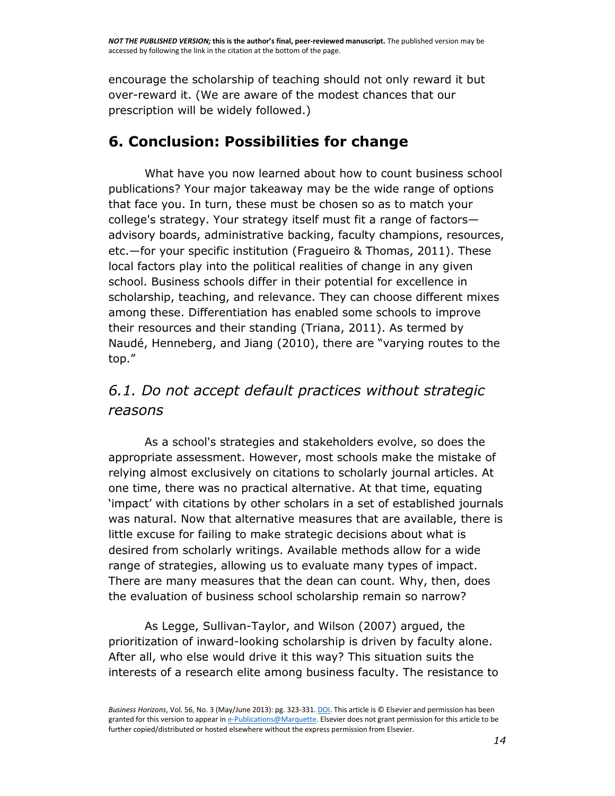encourage the scholarship of teaching should not only reward it but over-reward it. (We are aware of the modest chances that our prescription will be widely followed.)

# **6. Conclusion: Possibilities for change**

What have you now learned about how to count business school publications? Your major takeaway may be the wide range of options that face you. In turn, these must be chosen so as to match your college's strategy. Your strategy itself must fit a range of factors advisory boards, administrative backing, faculty champions, resources, etc.—for your specific institution [\(Fragueiro & Thomas, 2011\)](http://www.sciencedirect.com/science/article/pii/S0007681313000116#bib0085). These local factors play into the political realities of change in any given school. Business schools differ in their potential for excellence in scholarship, teaching, and relevance. They can choose different mixes among these. Differentiation has enabled some schools to improve their resources and their standing [\(Triana, 2011\)](http://www.sciencedirect.com/science/article/pii/S0007681313000116#bib0265). As termed by [Naudé, Henneberg, and Jiang \(2010\)](http://www.sciencedirect.com/science/article/pii/S0007681313000116#bib0190), there are "varying routes to the top."

## *6.1. Do not accept default practices without strategic reasons*

As a school's strategies and stakeholders evolve, so does the appropriate assessment. However, most schools make the mistake of relying almost exclusively on citations to scholarly journal articles. At one time, there was no practical alternative. At that time, equating 'impact' with citations by other scholars in a set of established journals was natural. Now that alternative measures that are available, there is little excuse for failing to make strategic decisions about what is desired from scholarly writings. Available methods allow for a wide range of strategies, allowing us to evaluate many types of impact. There are many measures that the dean can count. Why, then, does the evaluation of business school scholarship remain so narrow?

As [Legge, Sullivan-Taylor, and Wilson \(2007\)](http://www.sciencedirect.com/science/article/pii/S0007681313000116#bib0150) argued, the prioritization of inward-looking scholarship is driven by faculty alone. After all, who else would drive it this way? This situation suits the interests of a research elite among business faculty. The resistance to

*Business Horizons*, Vol. 56, No. 3 (May/June 2013): pg. 323-331[. DOI.](http://dx.doi.org/10.1016/j.bushor.2013.01.010) This article is © Elsevier and permission has been granted for this version to appear i[n e-Publications@Marquette.](http://epublications.marquette.edu/) Elsevier does not grant permission for this article to be further copied/distributed or hosted elsewhere without the express permission from Elsevier.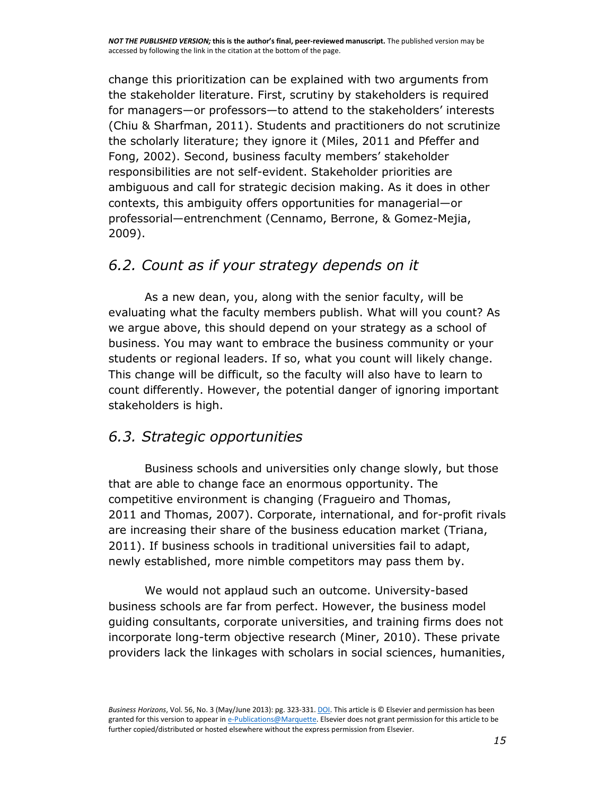change this prioritization can be explained with two arguments from the stakeholder literature. First, scrutiny by stakeholders is required for managers—or professors—to attend to the stakeholders' interests [\(Chiu & Sharfman, 2011\)](http://www.sciencedirect.com/science/article/pii/S0007681313000116#bib0050). Students and practitioners do not scrutinize the scholarly literature; they ignore it [\(Miles, 2011](http://www.sciencedirect.com/science/article/pii/S0007681313000116#bib0160) and [Pfeffer and](http://www.sciencedirect.com/science/article/pii/S0007681313000116#bib0205)  [Fong, 2002](http://www.sciencedirect.com/science/article/pii/S0007681313000116#bib0205)). Second, business faculty members' stakeholder responsibilities are not self-evident. Stakeholder priorities are ambiguous and call for strategic decision making. As it does in other contexts, this ambiguity offers opportunities for managerial—or professorial—entrenchment [\(Cennamo, Berrone, & Gomez-Mejia,](http://www.sciencedirect.com/science/article/pii/S0007681313000116#bib0035)  [2009\)](http://www.sciencedirect.com/science/article/pii/S0007681313000116#bib0035).

## *6.2. Count as if your strategy depends on it*

As a new dean, you, along with the senior faculty, will be evaluating what the faculty members publish. What will you count? As we argue above, this should depend on your strategy as a school of business. You may want to embrace the business community or your students or regional leaders. If so, what you count will likely change. This change will be difficult, so the faculty will also have to learn to count differently. However, the potential danger of ignoring important stakeholders is high.

## *6.3. Strategic opportunities*

Business schools and universities only change slowly, but those that are able to change face an enormous opportunity. The competitive environment is changing [\(Fragueiro and Thomas,](http://www.sciencedirect.com/science/article/pii/S0007681313000116#bib0085)  [2011](http://www.sciencedirect.com/science/article/pii/S0007681313000116#bib0085) and [Thomas, 2007\)](http://www.sciencedirect.com/science/article/pii/S0007681313000116#bib0260). Corporate, international, and for-profit rivals are increasing their share of the business education market [\(Triana,](http://www.sciencedirect.com/science/article/pii/S0007681313000116#bib0265)  [2011\)](http://www.sciencedirect.com/science/article/pii/S0007681313000116#bib0265). If business schools in traditional universities fail to adapt, newly established, more nimble competitors may pass them by.

We would not applaud such an outcome. University-based business schools are far from perfect. However, the business model guiding consultants, corporate universities, and training firms does not incorporate long-term objective research [\(Miner, 2010\)](http://www.sciencedirect.com/science/article/pii/S0007681313000116#bib0165). These private providers lack the linkages with scholars in social sciences, humanities,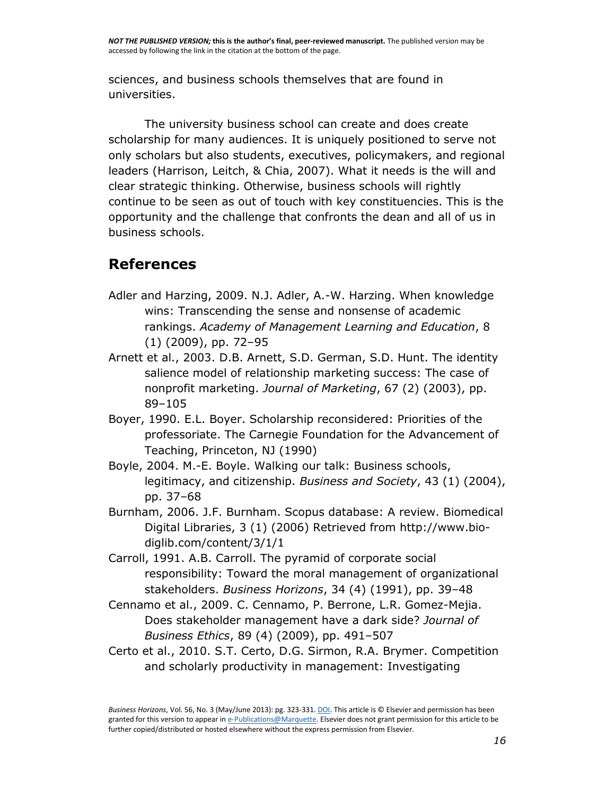sciences, and business schools themselves that are found in universities.

The university business school can create and does create scholarship for many audiences. It is uniquely positioned to serve not only scholars but also students, executives, policymakers, and regional leaders [\(Harrison, Leitch, & Chia, 2007\)](http://www.sciencedirect.com/science/article/pii/S0007681313000116#bib0105). What it needs is the will and clear strategic thinking. Otherwise, business schools will rightly continue to be seen as out of touch with key constituencies. This is the opportunity and the challenge that confronts the dean and all of us in business schools.

# **References**

- [Adler and Harzing, 2009.](http://www.sciencedirect.com/science/article/pii/S0007681313000116#bib0005) N.J. Adler, A.-W. Harzing. When knowledge wins: Transcending the sense and nonsense of academic rankings. *Academy of Management Learning and Education*, 8 (1) (2009), pp. 72–95
- [Arnett et al., 2003.](http://www.sciencedirect.com/science/article/pii/S0007681313000116#bib0010) D.B. Arnett, S.D. German, S.D. Hunt. The identity salience model of relationship marketing success: The case of nonprofit marketing. *Journal of Marketing*, 67 (2) (2003), pp. 89–105
- [Boyer, 1990.](http://www.sciencedirect.com/science/article/pii/S0007681313000116#bib0015) E.L. Boyer. Scholarship reconsidered: Priorities of the professoriate. The Carnegie Foundation for the Advancement of Teaching, Princeton, NJ (1990)
- [Boyle, 2004.](http://www.sciencedirect.com/science/article/pii/S0007681313000116#bib0020) M.-E. Boyle. Walking our talk: Business schools, legitimacy, and citizenship. *Business and Society*, 43 (1) (2004), pp. 37–68
- [Burnham, 2006.](http://www.sciencedirect.com/science/article/pii/S0007681313000116#bib0025) J.F. Burnham. Scopus database: A review. Biomedical Digital Libraries, 3 (1) (2006) Retrieved from [http://www.bio](http://www.bio-diglib.com/content/3/1/1)[diglib.com/content/3/1/1](http://www.bio-diglib.com/content/3/1/1)
- [Carroll, 1991.](http://www.sciencedirect.com/science/article/pii/S0007681313000116#bib0030) A.B. Carroll. The pyramid of corporate social responsibility: Toward the moral management of organizational stakeholders. *Business Horizons*, 34 (4) (1991), pp. 39–48
- [Cennamo et al., 2009.](http://www.sciencedirect.com/science/article/pii/S0007681313000116#bib0035) C. Cennamo, P. Berrone, L.R. Gomez-Mejia. Does stakeholder management have a dark side? *Journal of Business Ethics*, 89 (4) (2009), pp. 491–507
- [Certo et al., 2010.](http://www.sciencedirect.com/science/article/pii/S0007681313000116#bib0040) S.T. Certo, D.G. Sirmon, R.A. Brymer. Competition and scholarly productivity in management: Investigating

*Business Horizons*, Vol. 56, No. 3 (May/June 2013): pg. 323-331[. DOI.](http://dx.doi.org/10.1016/j.bushor.2013.01.010) This article is © Elsevier and permission has been granted for this version to appear i[n e-Publications@Marquette.](http://epublications.marquette.edu/) Elsevier does not grant permission for this article to be further copied/distributed or hosted elsewhere without the express permission from Elsevier.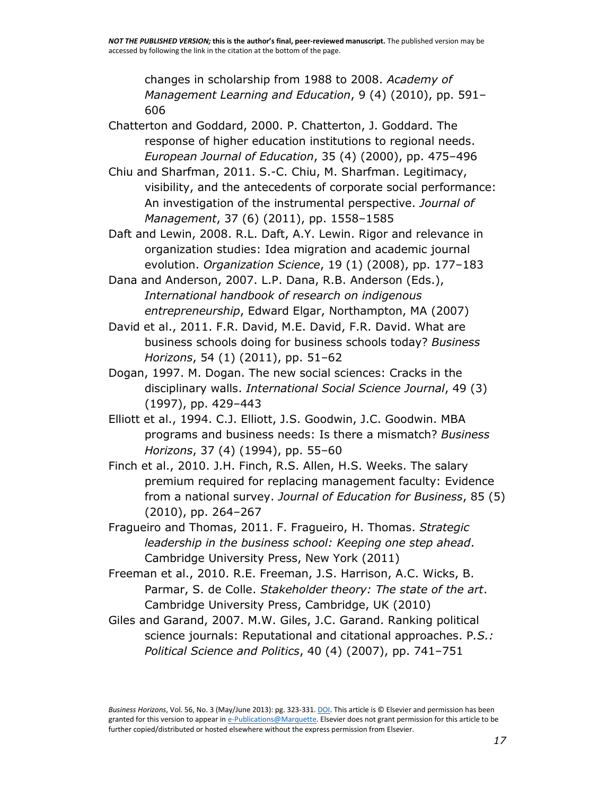changes in scholarship from 1988 to 2008. *Academy of Management Learning and Education*, 9 (4) (2010), pp. 591– 606

[Chatterton and Goddard, 2000.](http://www.sciencedirect.com/science/article/pii/S0007681313000116#bib0045) P. Chatterton, J. Goddard. The response of higher education institutions to regional needs. *European Journal of Education*, 35 (4) (2000), pp. 475–496

[Chiu and Sharfman, 2011.](http://www.sciencedirect.com/science/article/pii/S0007681313000116#bib0050) S.-C. Chiu, M. Sharfman. Legitimacy, visibility, and the antecedents of corporate social performance: An investigation of the instrumental perspective. *Journal of Management*, 37 (6) (2011), pp. 1558–1585

[Daft and Lewin, 2008.](http://www.sciencedirect.com/science/article/pii/S0007681313000116#bib0055) R.L. Daft, A.Y. Lewin. Rigor and relevance in organization studies: Idea migration and academic journal evolution. *Organization Science*, 19 (1) (2008), pp. 177–183

[Dana and Anderson, 2007.](http://www.sciencedirect.com/science/article/pii/S0007681313000116#bib0060) L.P. Dana, R.B. Anderson (Eds.), *International handbook of research on indigenous entrepreneurship*, Edward Elgar, Northampton, MA (2007)

[David et al., 2011.](http://www.sciencedirect.com/science/article/pii/S0007681313000116#bib0065) F.R. David, M.E. David, F.R. David. What are business schools doing for business schools today? *Business Horizons*, 54 (1) (2011), pp. 51–62

- [Dogan, 1997.](http://www.sciencedirect.com/science/article/pii/S0007681313000116#bib0070) M. Dogan. The new social sciences: Cracks in the disciplinary walls. *International Social Science Journal*, 49 (3) (1997), pp. 429–443
- [Elliott et al., 1994.](http://www.sciencedirect.com/science/article/pii/S0007681313000116#bib0075) C.J. Elliott, J.S. Goodwin, J.C. Goodwin. MBA programs and business needs: Is there a mismatch? *Business Horizons*, 37 (4) (1994), pp. 55–60

[Finch et al., 2010.](http://www.sciencedirect.com/science/article/pii/S0007681313000116#bib0080) J.H. Finch, R.S. Allen, H.S. Weeks. The salary premium required for replacing management faculty: Evidence from a national survey. *Journal of Education for Business*, 85 (5) (2010), pp. 264–267

[Fragueiro and Thomas, 2011.](http://www.sciencedirect.com/science/article/pii/S0007681313000116#bib0085) F. Fragueiro, H. Thomas. *Strategic leadership in the business school: Keeping one step ahead*. Cambridge University Press, New York (2011)

[Freeman et al., 2010.](http://www.sciencedirect.com/science/article/pii/S0007681313000116#bib0090) R.E. Freeman, J.S. Harrison, A.C. Wicks, B. Parmar, S. de Colle. *Stakeholder theory: The state of the art*. Cambridge University Press, Cambridge, UK (2010)

[Giles and Garand, 2007.](http://www.sciencedirect.com/science/article/pii/S0007681313000116#bib0095) M.W. Giles, J.C. Garand. Ranking political science journals: Reputational and citational approaches. P*.S.: Political Science and Politics*, 40 (4) (2007), pp. 741–751

*Business Horizons*, Vol. 56, No. 3 (May/June 2013): pg. 323-331[. DOI.](http://dx.doi.org/10.1016/j.bushor.2013.01.010) This article is © Elsevier and permission has been granted for this version to appear i[n e-Publications@Marquette.](http://epublications.marquette.edu/) Elsevier does not grant permission for this article to be further copied/distributed or hosted elsewhere without the express permission from Elsevier.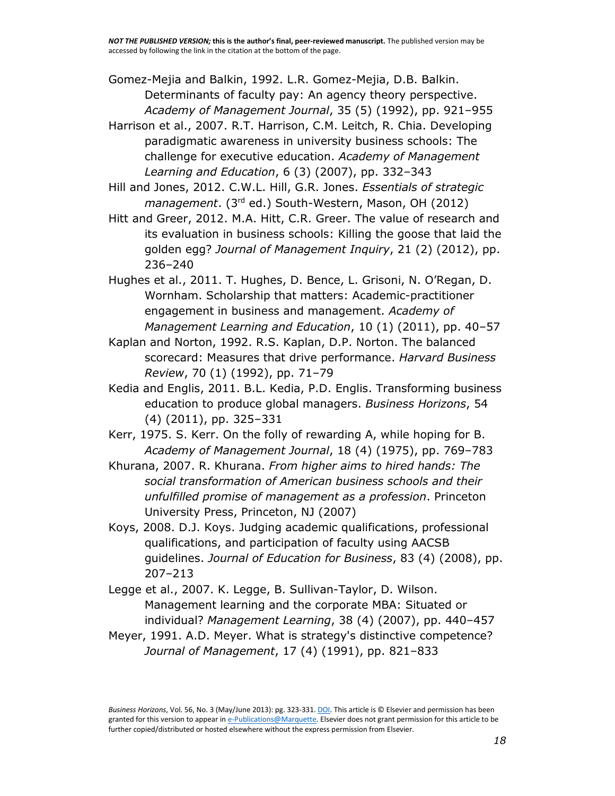[Gomez-Mejia and Balkin, 1992.](http://www.sciencedirect.com/science/article/pii/S0007681313000116#bib0100) L.R. Gomez-Mejia, D.B. Balkin. Determinants of faculty pay: An agency theory perspective. *Academy of Management Journal*, 35 (5) (1992), pp. 921–955

[Harrison et al., 2007.](http://www.sciencedirect.com/science/article/pii/S0007681313000116#bib0105) R.T. Harrison, C.M. Leitch, R. Chia. Developing paradigmatic awareness in university business schools: The challenge for executive education. *Academy of Management Learning and Education*, 6 (3) (2007), pp. 332–343

[Hill and Jones, 2012.](http://www.sciencedirect.com/science/article/pii/S0007681313000116#bib0110) C.W.L. Hill, G.R. Jones. *Essentials of strategic management*. (3rd ed.) South-Western, Mason, OH (2012)

[Hitt and Greer, 2012.](http://www.sciencedirect.com/science/article/pii/S0007681313000116#bib0115) M.A. Hitt, C.R. Greer. The value of research and its evaluation in business schools: Killing the goose that laid the golden egg? *Journal of Management Inquiry*, 21 (2) (2012), pp. 236–240

[Hughes et al., 2011.](http://www.sciencedirect.com/science/article/pii/S0007681313000116#bib0120) T. Hughes, D. Bence, L. Grisoni, N. O'Regan, D. Wornham. Scholarship that matters: Academic-practitioner engagement in business and management. *Academy of Management Learning and Education*, 10 (1) (2011), pp. 40–57

[Kaplan and Norton, 1992.](http://www.sciencedirect.com/science/article/pii/S0007681313000116#bib0125) R.S. Kaplan, D.P. Norton. The balanced scorecard: Measures that drive performance. *Harvard Business Review*, 70 (1) (1992), pp. 71–79

[Kedia and Englis, 2011.](http://www.sciencedirect.com/science/article/pii/S0007681313000116#bib0130) B.L. Kedia, P.D. Englis. Transforming business education to produce global managers. *Business Horizons*, 54 (4) (2011), pp. 325–331

[Kerr, 1975.](http://www.sciencedirect.com/science/article/pii/S0007681313000116#bib0135) S. Kerr. On the folly of rewarding A, while hoping for B. *Academy of Management Journal*, 18 (4) (1975), pp. 769–783

[Khurana, 2007.](http://www.sciencedirect.com/science/article/pii/S0007681313000116#bib0140) R. Khurana. *From higher aims to hired hands: The social transformation of American business schools and their unfulfilled promise of management as a profession*. Princeton University Press, Princeton, NJ (2007)

[Koys, 2008.](http://www.sciencedirect.com/science/article/pii/S0007681313000116#bib0145) D.J. Koys. Judging academic qualifications, professional qualifications, and participation of faculty using AACSB guidelines. *Journal of Education for Business*, 83 (4) (2008), pp. 207–213

[Legge et al., 2007.](http://www.sciencedirect.com/science/article/pii/S0007681313000116#bib0150) K. Legge, B. Sullivan-Taylor, D. Wilson. Management learning and the corporate MBA: Situated or individual? *Management Learning*, 38 (4) (2007), pp. 440–457

[Meyer, 1991.](http://www.sciencedirect.com/science/article/pii/S0007681313000116#bib0155) A.D. Meyer. What is strategy's distinctive competence? *Journal of Management*, 17 (4) (1991), pp. 821–833

*Business Horizons*, Vol. 56, No. 3 (May/June 2013): pg. 323-331[. DOI.](http://dx.doi.org/10.1016/j.bushor.2013.01.010) This article is © Elsevier and permission has been granted for this version to appear i[n e-Publications@Marquette.](http://epublications.marquette.edu/) Elsevier does not grant permission for this article to be further copied/distributed or hosted elsewhere without the express permission from Elsevier.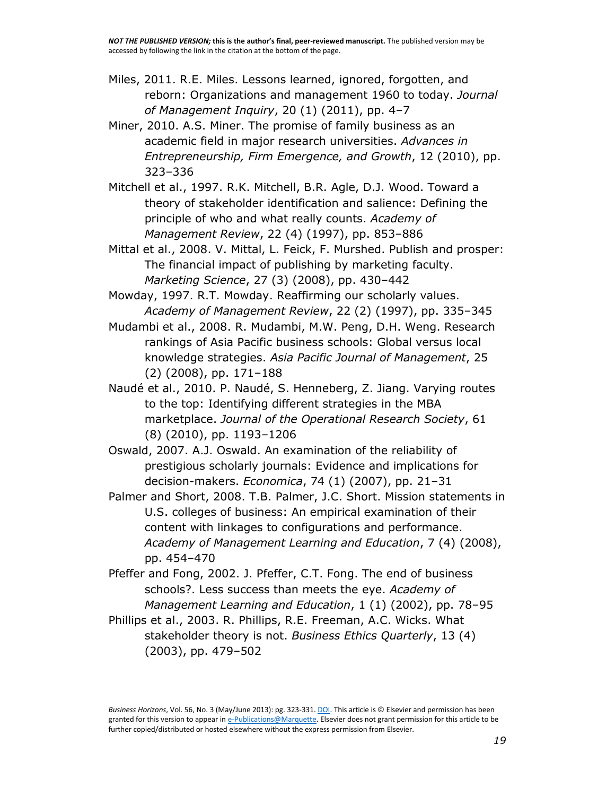- [Miles, 2011.](http://www.sciencedirect.com/science/article/pii/S0007681313000116#bib0160) R.E. Miles. Lessons learned, ignored, forgotten, and reborn: Organizations and management 1960 to today. *Journal of Management Inquiry*, 20 (1) (2011), pp. 4–7
- [Miner, 2010.](http://www.sciencedirect.com/science/article/pii/S0007681313000116#bib0165) A.S. Miner. The promise of family business as an academic field in major research universities. *Advances in Entrepreneurship, Firm Emergence, and Growth*, 12 (2010), pp. 323–336
- [Mitchell et al., 1997.](http://www.sciencedirect.com/science/article/pii/S0007681313000116#bib0170) R.K. Mitchell, B.R. Agle, D.J. Wood. Toward a theory of stakeholder identification and salience: Defining the principle of who and what really counts. *Academy of Management Review*, 22 (4) (1997), pp. 853–886
- [Mittal et al., 2008.](http://www.sciencedirect.com/science/article/pii/S0007681313000116#bib0175) V. Mittal, L. Feick, F. Murshed. Publish and prosper: The financial impact of publishing by marketing faculty. *Marketing Science*, 27 (3) (2008), pp. 430–442
- [Mowday, 1997.](http://www.sciencedirect.com/science/article/pii/S0007681313000116#bib0180) R.T. Mowday. Reaffirming our scholarly values. *Academy of Management Review*, 22 (2) (1997), pp. 335–345
- [Mudambi et al., 2008.](http://www.sciencedirect.com/science/article/pii/S0007681313000116#bib0185) R. Mudambi, M.W. Peng, D.H. Weng. Research rankings of Asia Pacific business schools: Global versus local knowledge strategies. *Asia Pacific Journal of Management*, 25 (2) (2008), pp. 171–188
- [Naudé et al., 2010.](http://www.sciencedirect.com/science/article/pii/S0007681313000116#bib0190) P. Naudé, S. Henneberg, Z. Jiang. Varying routes to the top: Identifying different strategies in the MBA marketplace. *Journal of the Operational Research Society*, 61 (8) (2010), pp. 1193–1206
- [Oswald, 2007.](http://www.sciencedirect.com/science/article/pii/S0007681313000116#bib0195) A.J. Oswald. An examination of the reliability of prestigious scholarly journals: Evidence and implications for decision-makers. *Economica*, 74 (1) (2007), pp. 21–31
- [Palmer and Short, 2008.](http://www.sciencedirect.com/science/article/pii/S0007681313000116#bib0200) T.B. Palmer, J.C. Short. Mission statements in U.S. colleges of business: An empirical examination of their content with linkages to configurations and performance. *Academy of Management Learning and Education*, 7 (4) (2008), pp. 454–470
- [Pfeffer and Fong, 2002.](http://www.sciencedirect.com/science/article/pii/S0007681313000116#bib0205) J. Pfeffer, C.T. Fong. The end of business schools?. Less success than meets the eye. *Academy of Management Learning and Education*, 1 (1) (2002), pp. 78–95
- [Phillips et al., 2003.](http://www.sciencedirect.com/science/article/pii/S0007681313000116#bib0210) R. Phillips, R.E. Freeman, A.C. Wicks. What stakeholder theory is not. *Business Ethics Quarterly*, 13 (4) (2003), pp. 479–502

*Business Horizons*, Vol. 56, No. 3 (May/June 2013): pg. 323-331[. DOI.](http://dx.doi.org/10.1016/j.bushor.2013.01.010) This article is © Elsevier and permission has been granted for this version to appear i[n e-Publications@Marquette.](http://epublications.marquette.edu/) Elsevier does not grant permission for this article to be further copied/distributed or hosted elsewhere without the express permission from Elsevier.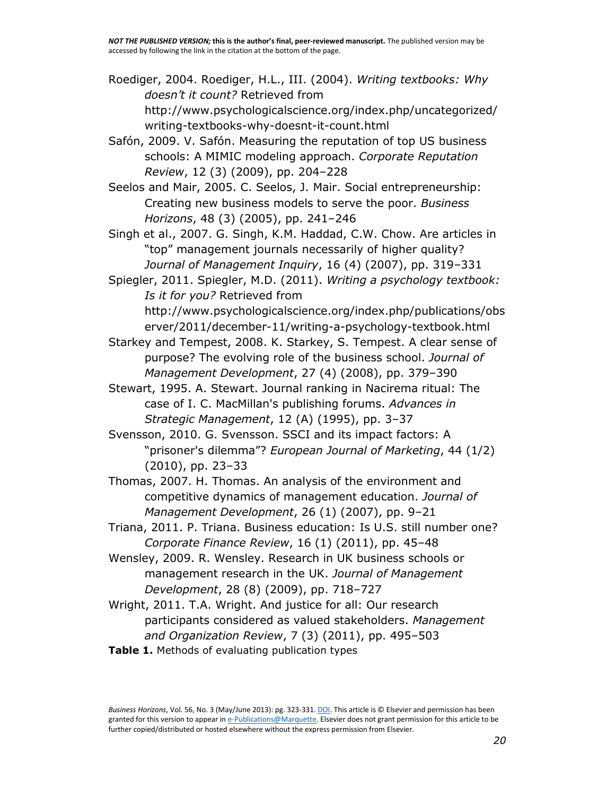[Roediger, 2004.](http://www.sciencedirect.com/science/article/pii/S0007681313000116#bib0215) Roediger, H.L., III. (2004). *Writing textbooks: Why doesn't it count?* Retrieved from http://www.psychologicalscience.org/index.php/uncategorized/ writing-textbooks-why-doesnt-it-count.html

[Safón, 2009.](http://www.sciencedirect.com/science/article/pii/S0007681313000116#bib0220) V. Safón. Measuring the reputation of top US business schools: A MIMIC modeling approach. *Corporate Reputation Review*, 12 (3) (2009), pp. 204–228

[Seelos and Mair, 2005.](http://www.sciencedirect.com/science/article/pii/S0007681313000116#bib0225) C. Seelos, J. Mair. Social entrepreneurship: Creating new business models to serve the poor. *Business Horizons*, 48 (3) (2005), pp. 241–246

Singh et [al., 2007.](http://www.sciencedirect.com/science/article/pii/S0007681313000116#bib0230) G. Singh, K.M. Haddad, C.W. Chow. Are articles in "top" management journals necessarily of higher quality? *Journal of Management Inquiry*, 16 (4) (2007), pp. 319–331

[Spiegler, 2011.](http://www.sciencedirect.com/science/article/pii/S0007681313000116#bib0235) Spiegler, M.D. (2011). *Writing a psychology textbook: Is it for you?* Retrieved from http://www.psychologicalscience.org/index.php/publications/obs

erver/2011/december-11/writing-a-psychology-textbook.html

- [Starkey and Tempest, 2008.](http://www.sciencedirect.com/science/article/pii/S0007681313000116#bib0245) K. Starkey, S. Tempest. A clear sense of purpose? The evolving role of the business school. *Journal of Management Development*, 27 (4) (2008), pp. 379–390
- [Stewart, 1995.](http://www.sciencedirect.com/science/article/pii/S0007681313000116#bib0250) A. Stewart. Journal ranking in Nacirema ritual: The case of I. C. MacMillan's publishing forums. *Advances in Strategic Management*, 12 (A) (1995), pp. 3–37
- [Svensson, 2010.](http://www.sciencedirect.com/science/article/pii/S0007681313000116#bib0255) G. Svensson. SSCI and its impact factors: A "prisoner's dilemma"? *European Journal of Marketing*, 44 (1/2) (2010), pp. 23–33

[Thomas, 2007.](http://www.sciencedirect.com/science/article/pii/S0007681313000116#bib0260) H. Thomas. An analysis of the environment and competitive dynamics of management education. *Journal of Management Development*, 26 (1) (2007), pp. 9–21

[Triana, 2011.](http://www.sciencedirect.com/science/article/pii/S0007681313000116#bib0265) P. Triana. Business education: Is U.S. still number one? *Corporate Finance Review*, 16 (1) (2011), pp. 45–48

[Wensley, 2009.](http://www.sciencedirect.com/science/article/pii/S0007681313000116#bib0270) R. Wensley. Research in UK business schools or management research in the UK. *Journal of Management Development*, 28 (8) (2009), pp. 718–727

[Wright, 2011.](http://www.sciencedirect.com/science/article/pii/S0007681313000116#bib0275) T.A. Wright. And justice for all: Our research participants considered as valued stakeholders. *Management and Organization Review*, 7 (3) (2011), pp. 495–503

**Table 1.** Methods of evaluating publication types

*Business Horizons*, Vol. 56, No. 3 (May/June 2013): pg. 323-331[. DOI.](http://dx.doi.org/10.1016/j.bushor.2013.01.010) This article is © Elsevier and permission has been granted for this version to appear i[n e-Publications@Marquette.](http://epublications.marquette.edu/) Elsevier does not grant permission for this article to be further copied/distributed or hosted elsewhere without the express permission from Elsevier.